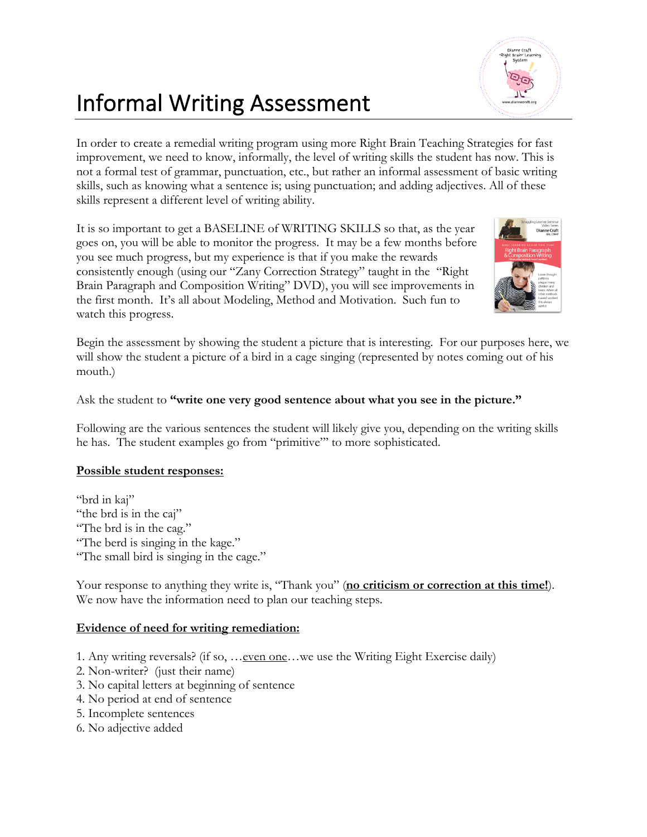## Informal Writing Assessment

In order to create a remedial writing program using more Right Brain Teaching Strategies for fast improvement, we need to know, informally, the level of writing skills the student has now. This is not a formal test of grammar, punctuation, etc., but rather an informal assessment of basic writing skills, such as knowing what a sentence is; using punctuation; and adding adjectives. All of these skills represent a different level of writing ability.

It is so important to get a BASELINE of WRITING SKILLS so that, as the year goes on, you will be able to monitor the progress. It may be a few months before you see much progress, but my experience is that if you make the rewards consistently enough (using our "Zany Correction Strategy" taught in the "Right Brain Paragraph and Composition Writing" DVD), you will see improvements in the first month. It's all about Modeling, Method and Motivation. Such fun to watch this progress.

Begin the assessment by showing the student a picture that is interesting. For our purposes here, we will show the student a picture of a bird in a cage singing (represented by notes coming out of his mouth.)

## Ask the student to **"write one very good sentence about what you see in the picture."**

Following are the various sentences the student will likely give you, depending on the writing skills he has. The student examples go from "primitive"' to more sophisticated.

## **Possible student responses:**

"brd in kaj" "the brd is in the caj" "The brd is in the cag." "The berd is singing in the kage." "The small bird is singing in the cage."

Your response to anything they write is, "Thank you" (no criticism or correction at this time!). We now have the information need to plan our teaching steps.

## **Evidence of need for writing remediation:**

- 1. Any writing reversals? (if so, …even one…we use the Writing Eight Exercise daily)
- 2. Non-writer? (just their name)
- 3. No capital letters at beginning of sentence
- 4. No period at end of sentence
- 5. Incomplete sentences
- 6. No adjective added



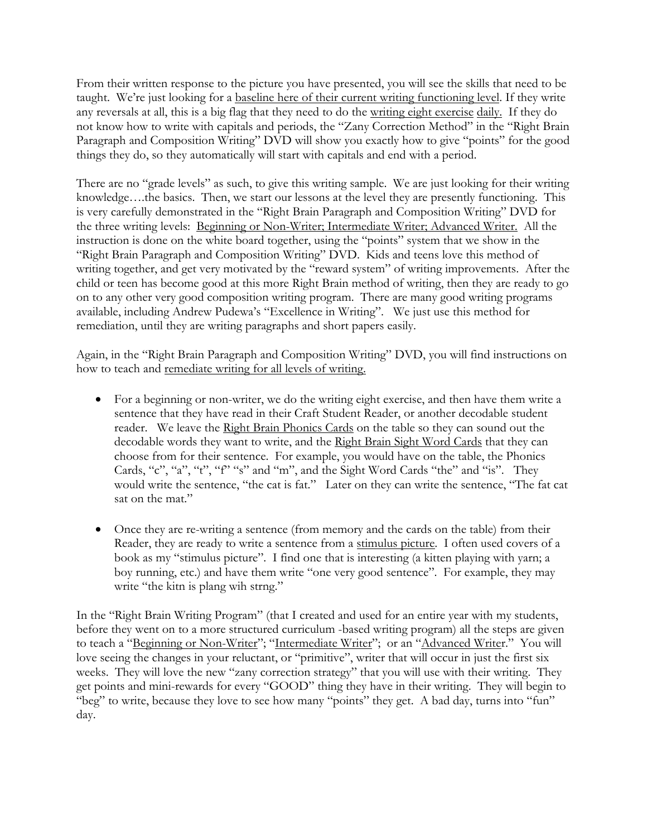From their written response to the picture you have presented, you will see the skills that need to be taught. We're just looking for a baseline here of their current writing functioning level. If they write any reversals at all, this is a big flag that they need to do the writing eight exercise daily. If they do not know how to write with capitals and periods, the "Zany Correction Method" in the "Right Brain Paragraph and Composition Writing" DVD will show you exactly how to give "points" for the good things they do, so they automatically will start with capitals and end with a period.

There are no "grade levels" as such, to give this writing sample. We are just looking for their writing knowledge….the basics. Then, we start our lessons at the level they are presently functioning. This is very carefully demonstrated in the "Right Brain Paragraph and Composition Writing" DVD for the three writing levels: Beginning or Non-Writer; Intermediate Writer; Advanced Writer. All the instruction is done on the white board together, using the "points" system that we show in the "Right Brain Paragraph and Composition Writing" DVD. Kids and teens love this method of writing together, and get very motivated by the "reward system" of writing improvements. After the child or teen has become good at this more Right Brain method of writing, then they are ready to go on to any other very good composition writing program. There are many good writing programs available, including Andrew Pudewa's "Excellence in Writing". We just use this method for remediation, until they are writing paragraphs and short papers easily.

Again, in the "Right Brain Paragraph and Composition Writing" DVD, you will find instructions on how to teach and remediate writing for all levels of writing.

- For a beginning or non-writer, we do the writing eight exercise, and then have them write a sentence that they have read in their Craft Student Reader, or another decodable student reader. We leave the Right Brain Phonics Cards on the table so they can sound out the decodable words they want to write, and the Right Brain Sight Word Cards that they can choose from for their sentence. For example, you would have on the table, the Phonics Cards, "c", "a", "t", "f" "s" and "m", and the Sight Word Cards "the" and "is". They would write the sentence, "the cat is fat." Later on they can write the sentence, "The fat cat sat on the mat."
- Once they are re-writing a sentence (from memory and the cards on the table) from their Reader, they are ready to write a sentence from a stimulus picture. I often used covers of a book as my "stimulus picture". I find one that is interesting (a kitten playing with yarn; a boy running, etc.) and have them write "one very good sentence". For example, they may write "the kitn is plang wih strng."

In the "Right Brain Writing Program" (that I created and used for an entire year with my students, before they went on to a more structured curriculum -based writing program) all the steps are given to teach a "Beginning or Non-Writer"; "Intermediate Writer"; or an "Advanced Writer." You will love seeing the changes in your reluctant, or "primitive", writer that will occur in just the first six weeks. They will love the new "zany correction strategy" that you will use with their writing. They get points and mini-rewards for every "GOOD" thing they have in their writing. They will begin to "beg" to write, because they love to see how many "points" they get. A bad day, turns into "fun" day.